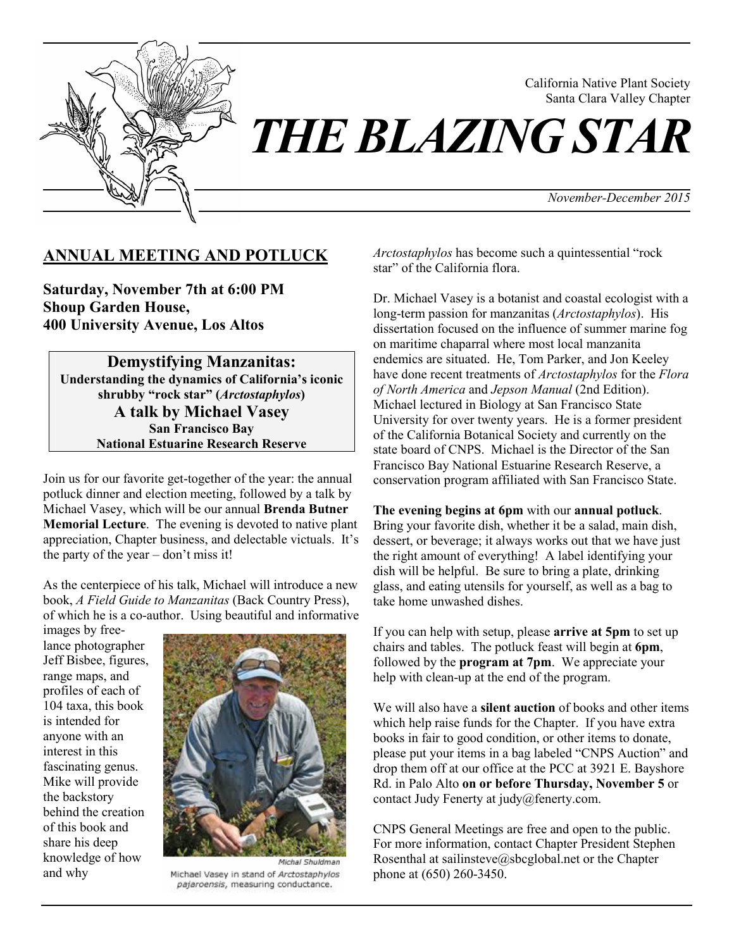

California Native Plant Society Santa Clara Valley Chapter

*November-December 2015*

## **ANNUAL MEETING AND POTLUCK**

**Saturday, November 7th at 6:00 PM Shoup Garden House, 400 University Avenue, Los Altos** 

**Demystifying Manzanitas: Understanding the dynamics of California's iconic shrubby "rock star" (***Arctostaphylos***) A talk by Michael Vasey San Francisco Bay National Estuarine Research Reserve** 

Join us for our favorite get-together of the year: the annual potluck dinner and election meeting, followed by a talk by Michael Vasey, which will be our annual **Brenda Butner Memorial Lecture**. The evening is devoted to native plant appreciation, Chapter business, and delectable victuals. It's the party of the year – don't miss it!

As the centerpiece of his talk, Michael will introduce a new book, *A Field Guide to Manzanitas* (Back Country Press), of which he is a co-author. Using beautiful and informative

images by freelance photographer Jeff Bisbee, figures, range maps, and profiles of each of 104 taxa, this book is intended for anyone with an interest in this fascinating genus. Mike will provide the backstory behind the creation of this book and share his deep knowledge of how and why



Michael Vasey in stand of Arctostaphylos pajaroensis, measuring conductance.

*Arctostaphylos* has become such a quintessential "rock star" of the California flora.

Dr. Michael Vasey is a botanist and coastal ecologist with a long-term passion for manzanitas (*Arctostaphylos*). His dissertation focused on the influence of summer marine fog on maritime chaparral where most local manzanita endemics are situated. He, Tom Parker, and Jon Keeley have done recent treatments of *Arctostaphylos* for the *Flora of North America* and *Jepson Manual* (2nd Edition). Michael lectured in Biology at San Francisco State University for over twenty years. He is a former president of the California Botanical Society and currently on the state board of CNPS. Michael is the Director of the San Francisco Bay National Estuarine Research Reserve, a conservation program affiliated with San Francisco State.

#### **The evening begins at 6pm** with our **annual potluck**.

Bring your favorite dish, whether it be a salad, main dish, dessert, or beverage; it always works out that we have just the right amount of everything! A label identifying your dish will be helpful. Be sure to bring a plate, drinking glass, and eating utensils for yourself, as well as a bag to take home unwashed dishes.

If you can help with setup, please **arrive at 5pm** to set up chairs and tables. The potluck feast will begin at **6pm**, followed by the **program at 7pm**. We appreciate your help with clean-up at the end of the program.

We will also have a **silent auction** of books and other items which help raise funds for the Chapter. If you have extra books in fair to good condition, or other items to donate, please put your items in a bag labeled "CNPS Auction" and drop them off at our office at the PCC at 3921 E. Bayshore Rd. in Palo Alto **on or before Thursday, November 5** or contact Judy Fenerty at judy@fenerty.com.

CNPS General Meetings are free and open to the public. For more information, contact Chapter President Stephen Rosenthal at sailinsteve@sbcglobal.net or the Chapter phone at (650) 260-3450.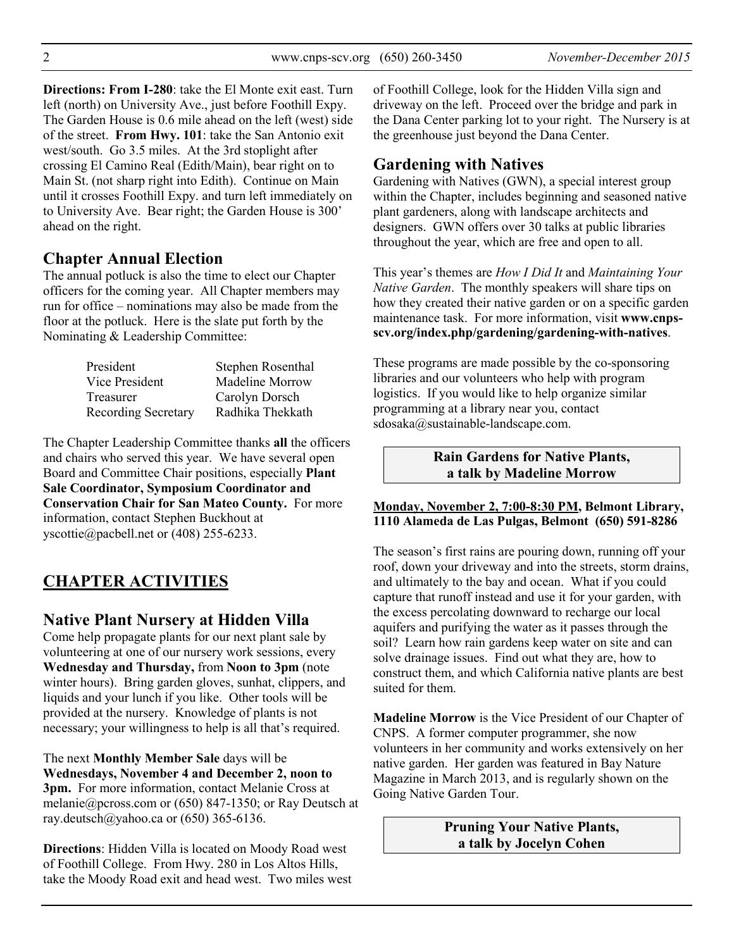**Directions: From I-280**: take the El Monte exit east. Turn left (north) on University Ave., just before Foothill Expy. The Garden House is 0.6 mile ahead on the left (west) side of the street. **From Hwy. 101**: take the San Antonio exit west/south. Go 3.5 miles. At the 3rd stoplight after crossing El Camino Real (Edith/Main), bear right on to Main St. (not sharp right into Edith). Continue on Main until it crosses Foothill Expy. and turn left immediately on to University Ave. Bear right; the Garden House is 300' ahead on the right.

## **Chapter Annual Election**

The annual potluck is also the time to elect our Chapter officers for the coming year. All Chapter members may run for office – nominations may also be made from the floor at the potluck. Here is the slate put forth by the Nominating & Leadership Committee:

| Stephen Rosenthal |
|-------------------|
| Madeline Morrow   |
| Carolyn Dorsch    |
| Radhika Thekkath  |
|                   |

The Chapter Leadership Committee thanks **all** the officers and chairs who served this year. We have several open Board and Committee Chair positions, especially **Plant Sale Coordinator, Symposium Coordinator and Conservation Chair for San Mateo County.** For more information, contact Stephen Buckhout at yscottie@pacbell.net or (408) 255-6233.

# **CHAPTER ACTIVITIES**

## **Native Plant Nursery at Hidden Villa**

Come help propagate plants for our next plant sale by volunteering at one of our nursery work sessions, every **Wednesday and Thursday,** from **Noon to 3pm** (note winter hours). Bring garden gloves, sunhat, clippers, and liquids and your lunch if you like. Other tools will be provided at the nursery. Knowledge of plants is not necessary; your willingness to help is all that's required.

The next **Monthly Member Sale** days will be **Wednesdays, November 4 and December 2, noon to 3pm.** For more information, contact Melanie Cross at melanie@pcross.com or (650) 847-1350; or Ray Deutsch at ray.deutsch@yahoo.ca or (650) 365-6136.

**Directions**: Hidden Villa is located on Moody Road west of Foothill College. From Hwy. 280 in Los Altos Hills, take the Moody Road exit and head west. Two miles west of Foothill College, look for the Hidden Villa sign and driveway on the left. Proceed over the bridge and park in the Dana Center parking lot to your right. The Nursery is at the greenhouse just beyond the Dana Center.

## **Gardening with Natives**

Gardening with Natives (GWN), a special interest group within the Chapter, includes beginning and seasoned native plant gardeners, along with landscape architects and designers. GWN offers over 30 talks at public libraries throughout the year, which are free and open to all.

This year's themes are *How I Did It* and *Maintaining Your Native Garden*. The monthly speakers will share tips on how they created their native garden or on a specific garden maintenance task. For more information, visit **www.cnpsscv.org/index.php/gardening/gardening-with-natives**.

These programs are made possible by the co-sponsoring libraries and our volunteers who help with program logistics. If you would like to help organize similar programming at a library near you, contact sdosaka@sustainable-landscape.com.

#### **Rain Gardens for Native Plants, a talk by Madeline Morrow**

#### **Monday, November 2, 7:00-8:30 PM, Belmont Library, 1110 Alameda de Las Pulgas, Belmont (650) 591-8286**

The season's first rains are pouring down, running off your roof, down your driveway and into the streets, storm drains, and ultimately to the bay and ocean. What if you could capture that runoff instead and use it for your garden, with the excess percolating downward to recharge our local aquifers and purifying the water as it passes through the soil? Learn how rain gardens keep water on site and can solve drainage issues. Find out what they are, how to construct them, and which California native plants are best suited for them.

**Madeline Morrow** is the Vice President of our Chapter of CNPS. A former computer programmer, she now volunteers in her community and works extensively on her native garden. Her garden was featured in Bay Nature Magazine in March 2013, and is regularly shown on the Going Native Garden Tour.

> **Pruning Your Native Plants, a talk by Jocelyn Cohen**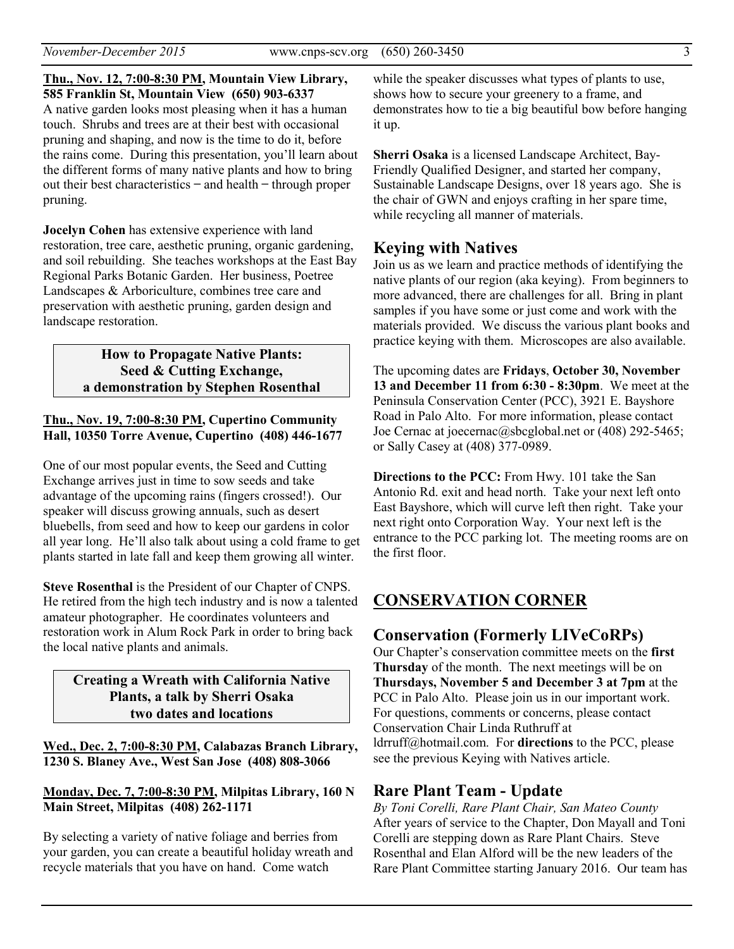**Thu., Nov. 12, 7:00-8:30 PM, Mountain View Library, 585 Franklin St, Mountain View (650) 903-6337**  A native garden looks most pleasing when it has a human touch. Shrubs and trees are at their best with occasional pruning and shaping, and now is the time to do it, before the rains come. During this presentation, you'll learn about the different forms of many native plants and how to bring out their best characteristics  $-$  and health  $-$  through proper pruning.

**Jocelyn Cohen** has extensive experience with land restoration, tree care, aesthetic pruning, organic gardening, and soil rebuilding. She teaches workshops at the East Bay Regional Parks Botanic Garden. Her business, Poetree Landscapes & Arboriculture, combines tree care and preservation with aesthetic pruning, garden design and landscape restoration.

> **How to Propagate Native Plants: Seed & Cutting Exchange, a demonstration by Stephen Rosenthal**

#### **Thu., Nov. 19, 7:00-8:30 PM, Cupertino Community Hall, 10350 Torre Avenue, Cupertino (408) 446-1677**

One of our most popular events, the Seed and Cutting Exchange arrives just in time to sow seeds and take advantage of the upcoming rains (fingers crossed!). Our speaker will discuss growing annuals, such as desert bluebells, from seed and how to keep our gardens in color all year long. He'll also talk about using a cold frame to get plants started in late fall and keep them growing all winter.

**Steve Rosenthal** is the President of our Chapter of CNPS. He retired from the high tech industry and is now a talented amateur photographer. He coordinates volunteers and restoration work in Alum Rock Park in order to bring back the local native plants and animals.

#### **Creating a Wreath with California Native Plants, a talk by Sherri Osaka two dates and locations**

**Wed., Dec. 2, 7:00-8:30 PM, Calabazas Branch Library, 1230 S. Blaney Ave., West San Jose (408) 808-3066** 

#### **Monday, Dec. 7, 7:00-8:30 PM, Milpitas Library, 160 N Main Street, Milpitas (408) 262-1171**

By selecting a variety of native foliage and berries from your garden, you can create a beautiful holiday wreath and recycle materials that you have on hand. Come watch

while the speaker discusses what types of plants to use, shows how to secure your greenery to a frame, and demonstrates how to tie a big beautiful bow before hanging it up.

**Sherri Osaka** is a licensed Landscape Architect, Bay-Friendly Qualified Designer, and started her company, Sustainable Landscape Designs, over 18 years ago. She is the chair of GWN and enjoys crafting in her spare time, while recycling all manner of materials.

### **Keying with Natives**

Join us as we learn and practice methods of identifying the native plants of our region (aka keying). From beginners to more advanced, there are challenges for all. Bring in plant samples if you have some or just come and work with the materials provided. We discuss the various plant books and practice keying with them. Microscopes are also available.

The upcoming dates are **Fridays**, **October 30, November 13 and December 11 from 6:30 - 8:30pm**. We meet at the Peninsula Conservation Center (PCC), 3921 E. Bayshore Road in Palo Alto. For more information, please contact Joe Cernac at joecernac@sbcglobal.net or (408) 292-5465; or Sally Casey at (408) 377-0989.

**Directions to the PCC:** From Hwy. 101 take the San Antonio Rd. exit and head north. Take your next left onto East Bayshore, which will curve left then right. Take your next right onto Corporation Way. Your next left is the entrance to the PCC parking lot. The meeting rooms are on the first floor.

## **CONSERVATION CORNER**

### **Conservation (Formerly LIVeCoRPs)**

Our Chapter's conservation committee meets on the **first Thursday** of the month. The next meetings will be on **Thursdays, November 5 and December 3 at 7pm** at the PCC in Palo Alto. Please join us in our important work. For questions, comments or concerns, please contact Conservation Chair Linda Ruthruff at ldrruff@hotmail.com. For **directions** to the PCC, please see the previous Keying with Natives article.

#### **Rare Plant Team - Update**

*By Toni Corelli, Rare Plant Chair, San Mateo County* After years of service to the Chapter, Don Mayall and Toni Corelli are stepping down as Rare Plant Chairs. Steve Rosenthal and Elan Alford will be the new leaders of the Rare Plant Committee starting January 2016. Our team has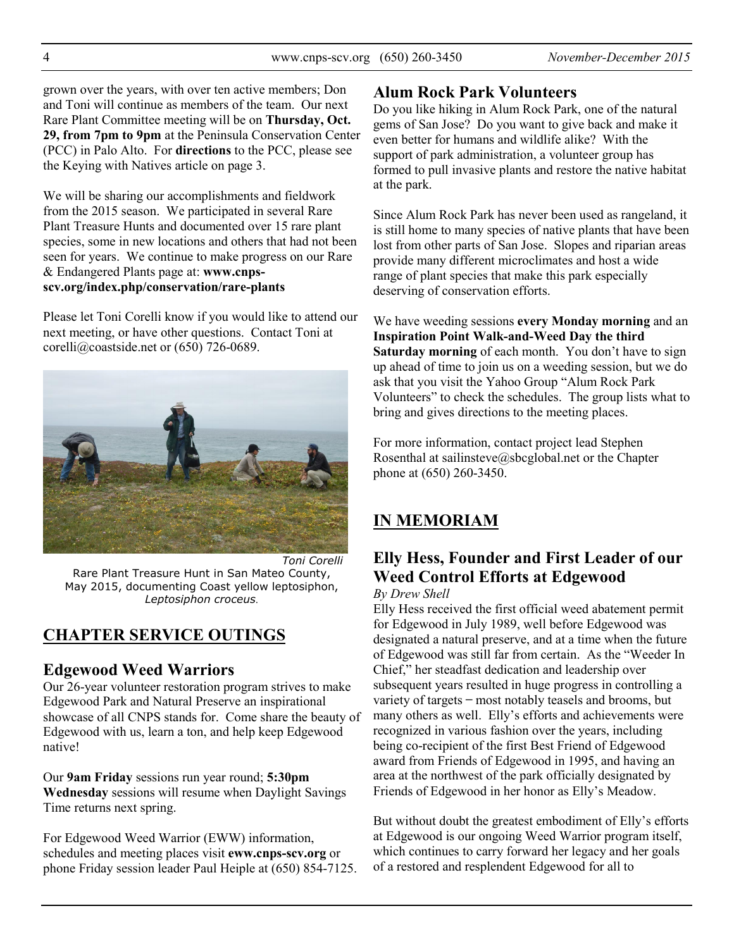grown over the years, with over ten active members; Don and Toni will continue as members of the team. Our next Rare Plant Committee meeting will be on **Thursday, Oct. 29, from 7pm to 9pm** at the Peninsula Conservation Center (PCC) in Palo Alto. For **directions** to the PCC, please see the Keying with Natives article on page 3.

We will be sharing our accomplishments and fieldwork from the 2015 season. We participated in several Rare Plant Treasure Hunts and documented over 15 rare plant species, some in new locations and others that had not been seen for years. We continue to make progress on our Rare & Endangered Plants page at: **www.cnpsscv.org/index.php/conservation/rare-plants**

Please let Toni Corelli know if you would like to attend our next meeting, or have other questions. Contact Toni at corelli@coastside.net or (650) 726-0689.



# **CHAPTER SERVICE OUTINGS**

### **Edgewood Weed Warriors**

Our 26-year volunteer restoration program strives to make Edgewood Park and Natural Preserve an inspirational showcase of all CNPS stands for. Come share the beauty of Edgewood with us, learn a ton, and help keep Edgewood native!

Our **9am Friday** sessions run year round; **5:30pm Wednesday** sessions will resume when Daylight Savings Time returns next spring.

For Edgewood Weed Warrior (EWW) information, schedules and meeting places visit **eww.cnps-scv.org** or phone Friday session leader Paul Heiple at (650) 854-7125.

## **Alum Rock Park Volunteers**

Do you like hiking in Alum Rock Park, one of the natural gems of San Jose? Do you want to give back and make it even better for humans and wildlife alike? With the support of park administration, a volunteer group has formed to pull invasive plants and restore the native habitat at the park.

Since Alum Rock Park has never been used as rangeland, it is still home to many species of native plants that have been lost from other parts of San Jose. Slopes and riparian areas provide many different microclimates and host a wide range of plant species that make this park especially deserving of conservation efforts.

We have weeding sessions **every Monday morning** and an **Inspiration Point Walk-and-Weed Day the third Saturday morning** of each month. You don't have to sign up ahead of time to join us on a weeding session, but we do ask that you visit the Yahoo Group "Alum Rock Park Volunteers" to check the schedules. The group lists what to bring and gives directions to the meeting places.

For more information, contact project lead Stephen Rosenthal at sailinsteve@sbcglobal.net or the Chapter phone at (650) 260-3450.

# **IN MEMORIAM**

# **Elly Hess, Founder and First Leader of our Weed Control Efforts at Edgewood**

#### *By Drew Shell*

Elly Hess received the first official weed abatement permit for Edgewood in July 1989, well before Edgewood was designated a natural preserve, and at a time when the future of Edgewood was still far from certain. As the "Weeder In Chief," her steadfast dedication and leadership over subsequent years resulted in huge progress in controlling a variety of targets ̶ most notably teasels and brooms, but many others as well. Elly's efforts and achievements were recognized in various fashion over the years, including being co-recipient of the first Best Friend of Edgewood award from Friends of Edgewood in 1995, and having an area at the northwest of the park officially designated by Friends of Edgewood in her honor as Elly's Meadow.

But without doubt the greatest embodiment of Elly's efforts at Edgewood is our ongoing Weed Warrior program itself, which continues to carry forward her legacy and her goals of a restored and resplendent Edgewood for all to

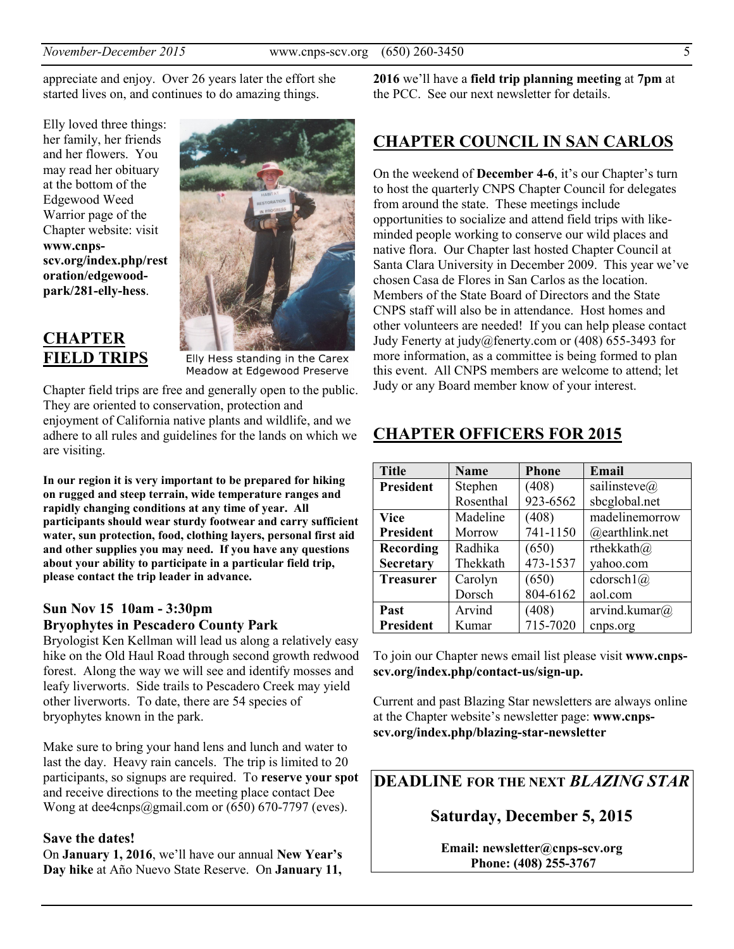appreciate and enjoy. Over 26 years later the effort she started lives on, and continues to do amazing things.

Elly loved three things: her family, her friends and her flowers. You may read her obituary at the bottom of the Edgewood Weed Warrior page of the Chapter website: visit **www.cnpsscv.org/index.php/rest oration/edgewoodpark/281-elly-hess**.



Elly Hess standing in the Carex Meadow at Edgewood Preserve

Chapter field trips are free and generally open to the public. They are oriented to conservation, protection and enjoyment of California native plants and wildlife, and we adhere to all rules and guidelines for the lands on which we are visiting.

**In our region it is very important to be prepared for hiking on rugged and steep terrain, wide temperature ranges and rapidly changing conditions at any time of year. All participants should wear sturdy footwear and carry sufficient water, sun protection, food, clothing layers, personal first aid and other supplies you may need. If you have any questions about your ability to participate in a particular field trip, please contact the trip leader in advance.** 

#### **Sun Nov 15 10am - 3:30pm Bryophytes in Pescadero County Park**

Bryologist Ken Kellman will lead us along a relatively easy hike on the Old Haul Road through second growth redwood forest. Along the way we will see and identify mosses and leafy liverworts. Side trails to Pescadero Creek may yield other liverworts. To date, there are 54 species of bryophytes known in the park.

Make sure to bring your hand lens and lunch and water to last the day. Heavy rain cancels. The trip is limited to 20 participants, so signups are required. To **reserve your spot**  and receive directions to the meeting place contact Dee Wong at dee4cnps@gmail.com or (650) 670-7797 (eves).

#### **Save the dates!**

On **January 1, 2016**, we'll have our annual **New Year's Day hike** at Año Nuevo State Reserve. On **January 11,** 

**2016** we'll have a **field trip planning meeting** at **7pm** at the PCC. See our next newsletter for details.

## **CHAPTER COUNCIL IN SAN CARLOS**

On the weekend of **December 4-6**, it's our Chapter's turn to host the quarterly CNPS Chapter Council for delegates from around the state. These meetings include opportunities to socialize and attend field trips with likeminded people working to conserve our wild places and native flora. Our Chapter last hosted Chapter Council at Santa Clara University in December 2009. This year we've chosen Casa de Flores in San Carlos as the location. Members of the State Board of Directors and the State CNPS staff will also be in attendance. Host homes and other volunteers are needed! If you can help please contact Judy Fenerty at judy@fenerty.com or (408) 655-3493 for more information, as a committee is being formed to plan this event. All CNPS members are welcome to attend; let Judy or any Board member know of your interest.

### **CHAPTER OFFICERS FOR 2015**

| <b>Title</b>     | <b>Name</b> | <b>Phone</b> | Email                |
|------------------|-------------|--------------|----------------------|
| <b>President</b> | Stephen     | (408)        | sailinsteve $\omega$ |
|                  | Rosenthal   | 923-6562     | sbcglobal.net        |
| <b>Vice</b>      | Madeline    | (408)        | madelinemorrow       |
| <b>President</b> | Morrow      | 741-1150     | @earthlink.net       |
| Recording        | Radhika     | (650)        | rthekkath@           |
| <b>Secretary</b> | Thekkath    | 473-1537     | yahoo.com            |
| <b>Treasurer</b> | Carolyn     | (650)        | cdorsch1(a)          |
|                  | Dorsch      | 804-6162     | aol.com              |
| Past             | Arvind      | (408)        | arvind.kumar $(a)$   |
| <b>President</b> | Kumar       | 715-7020     | cnps.org             |

To join our Chapter news email list please visit **www.cnpsscv.org/index.php/contact-us/sign-up.** 

Current and past Blazing Star newsletters are always online at the Chapter website's newsletter page: **www.cnpsscv.org/index.php/blazing-star-newsletter**

**DEADLINE FOR THE NEXT** *BLAZING STAR* 

**Saturday, December 5, 2015** 

**Email: newsletter@cnps-scv.org Phone: (408) 255-3767**